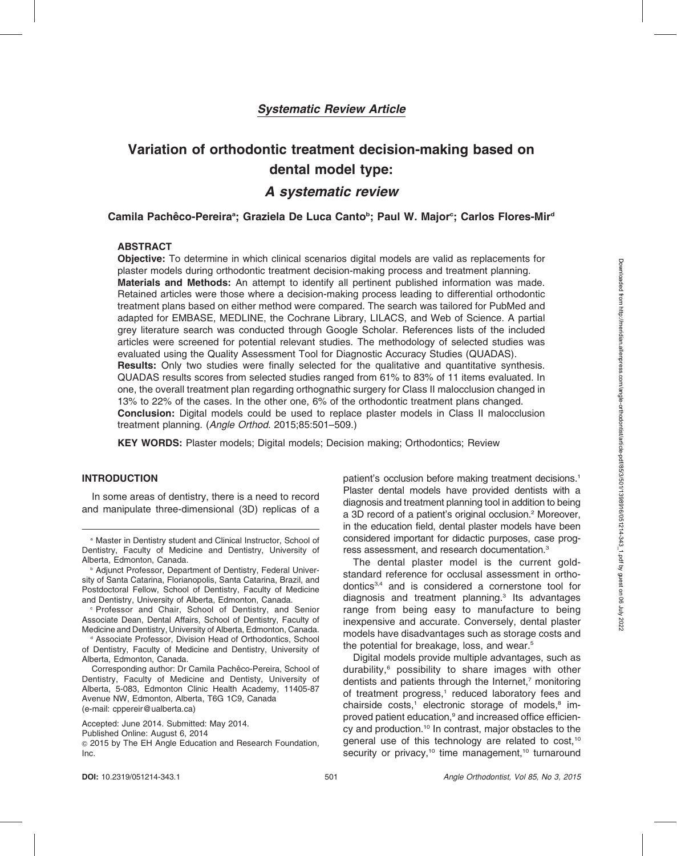# Variation of orthodontic treatment decision-making based on dental model type:

## A systematic review

## Camila Pachêco-Pereiraª; Graziela De Luca Canto<sup>ь</sup>; Paul W. Major<sup>c</sup>; Carlos Flores-Mirª

## ABSTRACT

Objective: To determine in which clinical scenarios digital models are valid as replacements for plaster models during orthodontic treatment decision-making process and treatment planning. Materials and Methods: An attempt to identify all pertinent published information was made. Retained articles were those where a decision-making process leading to differential orthodontic treatment plans based on either method were compared. The search was tailored for PubMed and adapted for EMBASE, MEDLINE, the Cochrane Library, LILACS, and Web of Science. A partial grey literature search was conducted through Google Scholar. References lists of the included articles were screened for potential relevant studies. The methodology of selected studies was evaluated using the Quality Assessment Tool for Diagnostic Accuracy Studies (QUADAS). Results: Only two studies were finally selected for the qualitative and quantitative synthesis. QUADAS results scores from selected studies ranged from 61% to 83% of 11 items evaluated. In one, the overall treatment plan regarding orthognathic surgery for Class II malocclusion changed in 13% to 22% of the cases. In the other one, 6% of the orthodontic treatment plans changed. Conclusion: Digital models could be used to replace plaster models in Class II malocclusion treatment planning. (Angle Orthod. 2015;85:501–509.)

KEY WORDS: Plaster models; Digital models; Decision making; Orthodontics; Review

## INTRODUCTION

In some areas of dentistry, there is a need to record and manipulate three-dimensional (3D) replicas of a

<sup>a</sup> Master in Dentistry student and Clinical Instructor, School of Dentistry, Faculty of Medicine and Dentistry, University of Alberta, Edmonton, Canada.

<sup>c</sup> Professor and Chair, School of Dentistry, and Senior Associate Dean, Dental Affairs, School of Dentistry, Faculty of Medicine and Dentistry, University of Alberta, Edmonton, Canada.

<sup>d</sup> Associate Professor, Division Head of Orthodontics, School of Dentistry, Faculty of Medicine and Dentistry, University of Alberta, Edmonton, Canada.

Corresponding author: Dr Camila Pachêco-Pereira, School of Dentistry, Faculty of Medicine and Dentisty, University of Alberta, 5-083, Edmonton Clinic Health Academy, 11405-87 Avenue NW, Edmonton, Alberta, T6G 1C9, Canada (e-mail: cppereir@ualberta.ca)

Accepted: June 2014. Submitted: May 2014.

Published Online: August 6, 2014

<sup>G</sup> 2015 by The EH Angle Education and Research Foundation, Inc.

patient's occlusion before making treatment decisions.<sup>1</sup> Plaster dental models have provided dentists with a diagnosis and treatment planning tool in addition to being a 3D record of a patient's original occlusion.<sup>2</sup> Moreover, in the education field, dental plaster models have been considered important for didactic purposes, case progress assessment, and research documentation.3

The dental plaster model is the current goldstandard reference for occlusal assessment in orthodontics3,4 and is considered a cornerstone tool for diagnosis and treatment planning.3 Its advantages range from being easy to manufacture to being inexpensive and accurate. Conversely, dental plaster models have disadvantages such as storage costs and the potential for breakage, loss, and wear.<sup>5</sup>

Digital models provide multiple advantages, such as durability,<sup>6</sup> possibility to share images with other dentists and patients through the Internet,<sup>7</sup> monitoring of treatment progress,<sup>1</sup> reduced laboratory fees and chairside costs,<sup>1</sup> electronic storage of models,<sup>8</sup> improved patient education,<sup>9</sup> and increased office efficiency and production.10 In contrast, major obstacles to the general use of this technology are related to cost,<sup>10</sup> security or privacy,<sup>10</sup> time management,<sup>10</sup> turnaround

**b Adjunct Professor, Department of Dentistry, Federal Univer**sity of Santa Catarina, Florianopolis, Santa Catarina, Brazil, and Postdoctoral Fellow, School of Dentistry, Faculty of Medicine and Dentistry, University of Alberta, Edmonton, Canada.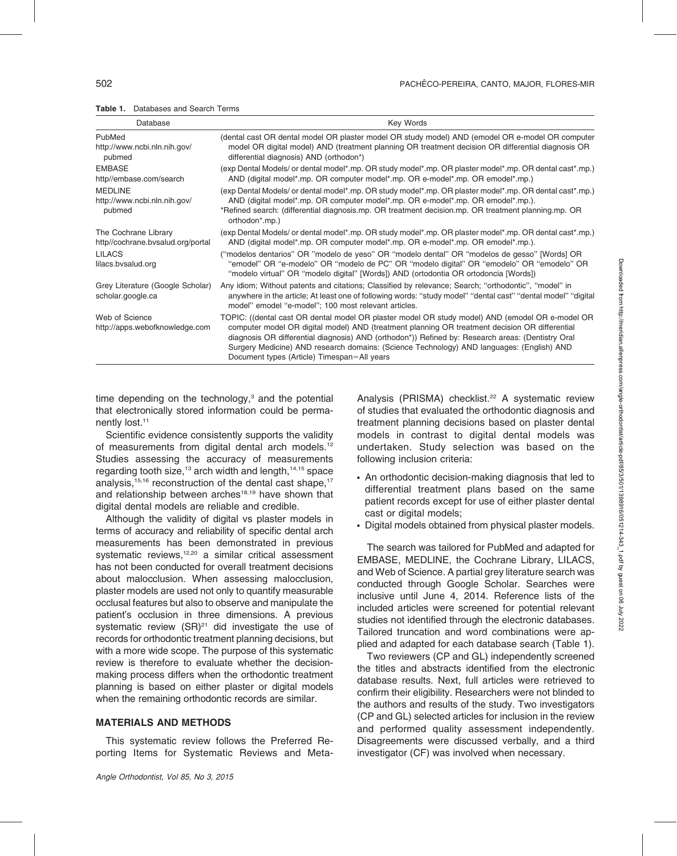| Database                                                  | <b>Key Words</b>                                                                                                                                                                                                                                                                                                                                                                                                                                   |
|-----------------------------------------------------------|----------------------------------------------------------------------------------------------------------------------------------------------------------------------------------------------------------------------------------------------------------------------------------------------------------------------------------------------------------------------------------------------------------------------------------------------------|
| PubMed<br>http://www.ncbi.nln.nih.gov/<br>pubmed          | (dental cast OR dental model OR plaster model OR study model) AND (emodel OR e-model OR computer<br>model OR digital model) AND (treatment planning OR treatment decision OR differential diagnosis OR<br>differential diagnosis) AND (orthodon*)                                                                                                                                                                                                  |
| <b>EMBASE</b><br>http//embase.com/search                  | (exp Dental Models/ or dental model*.mp. OR study model*.mp. OR plaster model*.mp. OR dental cast*.mp.)<br>AND (digital model*.mp. OR computer model*.mp. OR e-model*.mp. OR emodel*.mp.)                                                                                                                                                                                                                                                          |
| <b>MEDLINE</b><br>http://www.ncbi.nln.nih.gov/<br>pubmed  | (exp Dental Models/ or dental model*.mp. OR study model*.mp. OR plaster model*.mp. OR dental cast*.mp.)<br>AND (digital model*.mp. OR computer model*.mp. OR e-model*.mp. OR emodel*.mp.).<br>*Refined search: (differential diagnosis.mp. OR treatment decision.mp. OR treatment planning.mp. OR<br>orthodon <sup>*</sup> .mp.)                                                                                                                   |
| The Cochrane Library<br>http//cochrane.bvsalud.org/portal | (exp Dental Models/ or dental model*.mp. OR study model*.mp. OR plaster model*.mp. OR dental cast*.mp.)<br>AND (digital model*.mp. OR computer model*.mp. OR e-model*.mp. OR emodel*.mp.).                                                                                                                                                                                                                                                         |
| <b>LILACS</b><br>lilacs.bvsalud.org                       | ("modelos dentarios" OR "modelo de yeso" OR "modelo dental" OR "modelos de gesso" [Words] OR<br>"emodel" OR "e-modelo" OR "modelo de PC" OR "modelo digital" OR "emodelo" OR "emodelo" OR<br>"modelo virtual" OR "modelo digital" [Words]) AND (ortodontia OR ortodoncia [Words])                                                                                                                                                                  |
| Grey Literature (Google Scholar)<br>scholar.google.ca     | Any idiom; Without patents and citations; Classified by relevance; Search; "orthodontic", "model" in<br>anywhere in the article; At least one of following words: "study model" "dental cast" "dental model" "digital<br>model" emodel "e-model"; 100 most relevant articles.                                                                                                                                                                      |
| Web of Science<br>http://apps.webofknowledge.com          | TOPIC: ((dental cast OR dental model OR plaster model OR study model) AND (emodel OR e-model OR<br>computer model OR digital model) AND (treatment planning OR treatment decision OR differential<br>diagnosis OR differential diagnosis) AND (orthodon*)) Refined by: Research areas: (Dentistry Oral<br>Surgery Medicine) AND research domains: (Science Technology) AND languages: (English) AND<br>Document types (Article) Timespan=All years |

time depending on the technology, $3$  and the potential that electronically stored information could be permanently lost.<sup>11</sup>

Scientific evidence consistently supports the validity of measurements from digital dental arch models.<sup>12</sup> Studies assessing the accuracy of measurements regarding tooth size, $13$  arch width and length,  $14,15$  space analysis, $15,16$  reconstruction of the dental cast shape,  $17$ and relationship between arches<sup>18,19</sup> have shown that digital dental models are reliable and credible.

Although the validity of digital vs plaster models in terms of accuracy and reliability of specific dental arch measurements has been demonstrated in previous systematic reviews,<sup>12,20</sup> a similar critical assessment has not been conducted for overall treatment decisions about malocclusion. When assessing malocclusion, plaster models are used not only to quantify measurable occlusal features but also to observe and manipulate the patient's occlusion in three dimensions. A previous systematic review  $(SR)^{21}$  did investigate the use of records for orthodontic treatment planning decisions, but with a more wide scope. The purpose of this systematic review is therefore to evaluate whether the decisionmaking process differs when the orthodontic treatment planning is based on either plaster or digital models when the remaining orthodontic records are similar.

## MATERIALS AND METHODS

This systematic review follows the Preferred Reporting Items for Systematic Reviews and MetaAnalysis (PRISMA) checklist.<sup>22</sup> A systematic review of studies that evaluated the orthodontic diagnosis and treatment planning decisions based on plaster dental models in contrast to digital dental models was undertaken. Study selection was based on the following inclusion criteria:

- An orthodontic decision-making diagnosis that led to differential treatment plans based on the same patient records except for use of either plaster dental cast or digital models;
- Digital models obtained from physical plaster models.

The search was tailored for PubMed and adapted for EMBASE, MEDLINE, the Cochrane Library, LILACS, and Web of Science. A partial grey literature search was conducted through Google Scholar. Searches were inclusive until June 4, 2014. Reference lists of the included articles were screened for potential relevant studies not identified through the electronic databases. Tailored truncation and word combinations were applied and adapted for each database search (Table 1).

Two reviewers (CP and GL) independently screened the titles and abstracts identified from the electronic database results. Next, full articles were retrieved to confirm their eligibility. Researchers were not blinded to the authors and results of the study. Two investigators (CP and GL) selected articles for inclusion in the review and performed quality assessment independently. Disagreements were discussed verbally, and a third investigator (CF) was involved when necessary.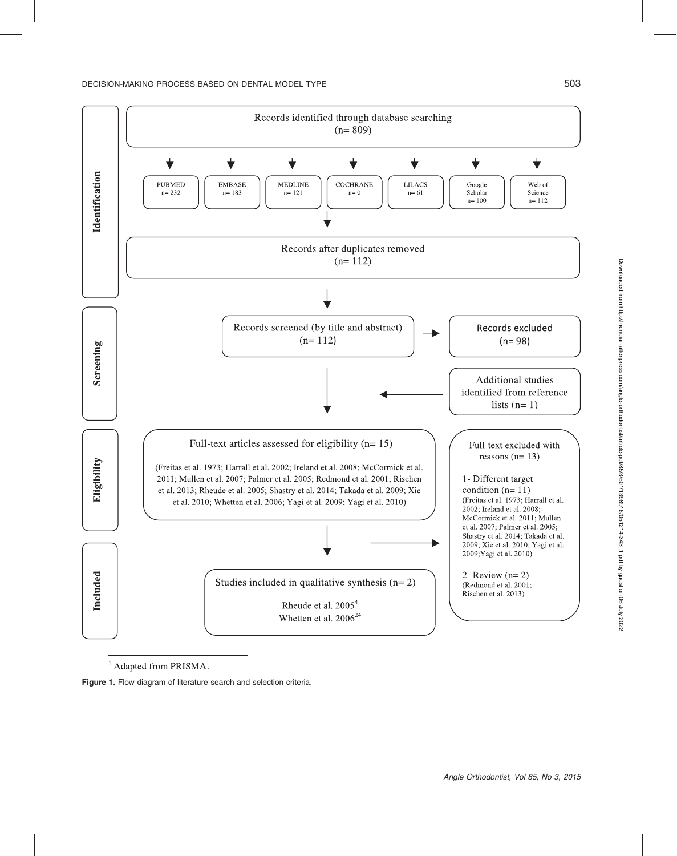

<sup>1</sup> Adapted from PRISMA.

Figure 1. Flow diagram of literature search and selection criteria.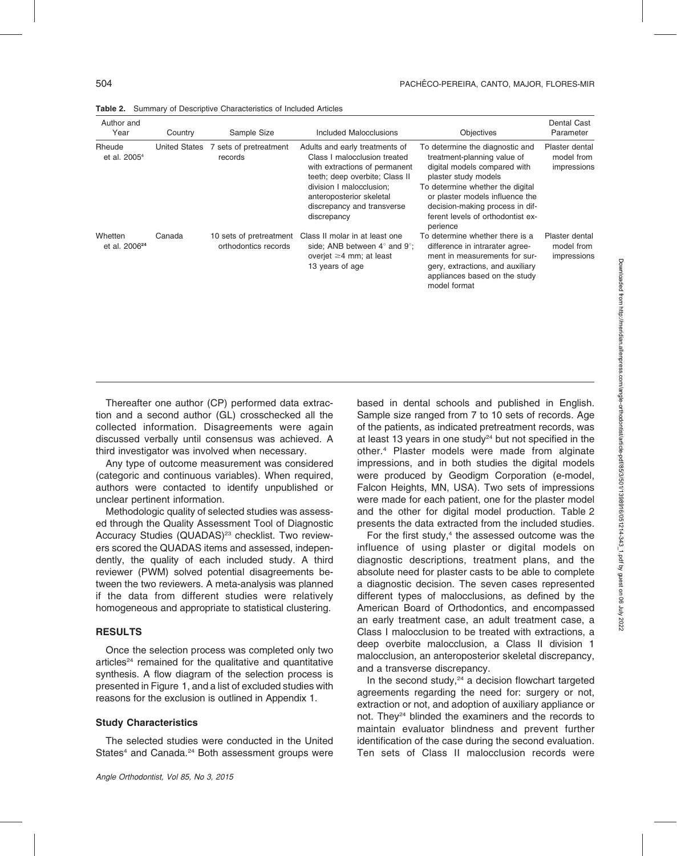| Author and<br>Year                   | Country              | Sample Size                                     | Included Malocclusions                                                                                                                                                                                                                 | <b>Objectives</b>                                                                                                                                                                                                                                                                 | <b>Dental Cast</b><br>Parameter             |
|--------------------------------------|----------------------|-------------------------------------------------|----------------------------------------------------------------------------------------------------------------------------------------------------------------------------------------------------------------------------------------|-----------------------------------------------------------------------------------------------------------------------------------------------------------------------------------------------------------------------------------------------------------------------------------|---------------------------------------------|
| Rheude<br>et al. 2005 <sup>4</sup>   | <b>United States</b> | 7 sets of pretreatment<br>records               | Adults and early treatments of<br>Class I malocclusion treated<br>with extractions of permanent<br>teeth; deep overbite; Class II<br>division I malocclusion;<br>anteroposterior skeletal<br>discrepancy and transverse<br>discrepancy | To determine the diagnostic and<br>treatment-planning value of<br>digital models compared with<br>plaster study models<br>To determine whether the digital<br>or plaster models influence the<br>decision-making process in dif-<br>ferent levels of orthodontist ex-<br>perience | Plaster dental<br>model from<br>impressions |
| Whetten<br>et al. 2006 <sup>24</sup> | Canada               | 10 sets of pretreatment<br>orthodontics records | Class II molar in at least one<br>side; ANB between $4^\circ$ and $9^\circ$ ;<br>overjet $\geq$ 4 mm; at least<br>13 years of age                                                                                                      | To determine whether there is a<br>difference in intrarater agree-<br>ment in measurements for sur-<br>gery, extractions, and auxiliary<br>appliances based on the study<br>model format                                                                                          | Plaster dental<br>model from<br>impressions |

Table 2. Summary of Descriptive Characteristics of Included Articles

Thereafter one author (CP) performed data extraction and a second author (GL) crosschecked all the collected information. Disagreements were again discussed verbally until consensus was achieved. A third investigator was involved when necessary.

Any type of outcome measurement was considered (categoric and continuous variables). When required, authors were contacted to identify unpublished or unclear pertinent information.

Methodologic quality of selected studies was assessed through the Quality Assessment Tool of Diagnostic Accuracy Studies (QUADAS)<sup>23</sup> checklist. Two reviewers scored the QUADAS items and assessed, independently, the quality of each included study. A third reviewer (PWM) solved potential disagreements between the two reviewers. A meta-analysis was planned if the data from different studies were relatively homogeneous and appropriate to statistical clustering.

## RESULTS

Once the selection process was completed only two articles<sup>24</sup> remained for the qualitative and quantitative synthesis. A flow diagram of the selection process is presented in Figure 1, and a list of excluded studies with reasons for the exclusion is outlined in Appendix 1.

## Study Characteristics

The selected studies were conducted in the United States<sup>4</sup> and Canada.<sup>24</sup> Both assessment groups were

based in dental schools and published in English. Sample size ranged from 7 to 10 sets of records. Age of the patients, as indicated pretreatment records, was at least 13 years in one study $24$  but not specified in the other.4 Plaster models were made from alginate impressions, and in both studies the digital models were produced by Geodigm Corporation (e-model, Falcon Heights, MN, USA). Two sets of impressions were made for each patient, one for the plaster model and the other for digital model production. Table 2 presents the data extracted from the included studies.

For the first study, $4$  the assessed outcome was the influence of using plaster or digital models on diagnostic descriptions, treatment plans, and the absolute need for plaster casts to be able to complete a diagnostic decision. The seven cases represented different types of malocclusions, as defined by the American Board of Orthodontics, and encompassed an early treatment case, an adult treatment case, a Class I malocclusion to be treated with extractions, a deep overbite malocclusion, a Class II division 1 malocclusion, an anteroposterior skeletal discrepancy, and a transverse discrepancy.

In the second study, $24$  a decision flowchart targeted agreements regarding the need for: surgery or not, extraction or not, and adoption of auxiliary appliance or not. They<sup>24</sup> blinded the examiners and the records to maintain evaluator blindness and prevent further identification of the case during the second evaluation. Ten sets of Class II malocclusion records were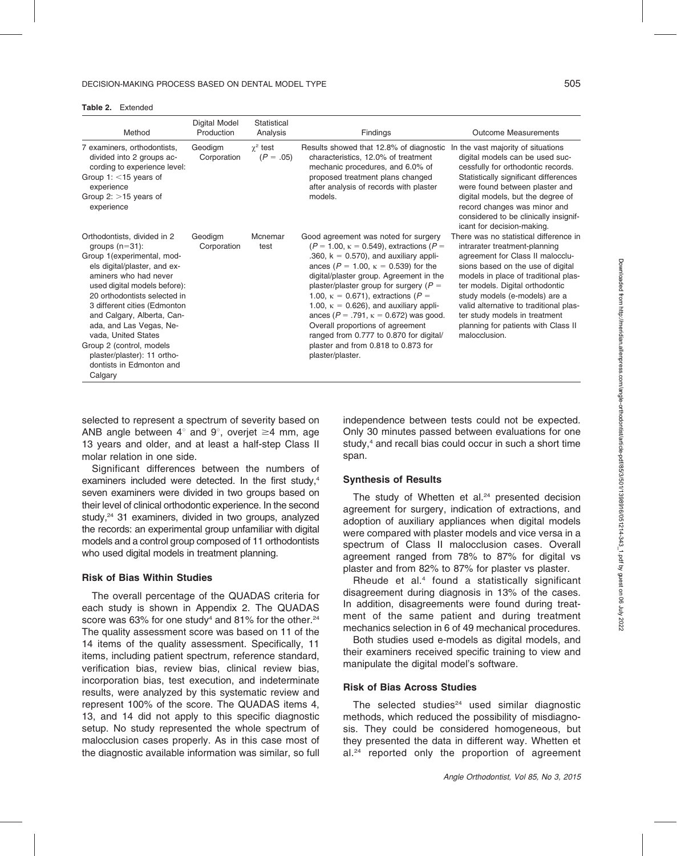Table 2. Extended

| Method                                                                                                                                                                                                                                                                                                                                                                                                                    | Digital Model<br>Production | Statistical<br>Analysis        | Findings                                                                                                                                                                                                                                                                                                                                                                                                                                                                                                                                                                       | <b>Outcome Measurements</b>                                                                                                                                                                                                                                                                                                                                                                     |
|---------------------------------------------------------------------------------------------------------------------------------------------------------------------------------------------------------------------------------------------------------------------------------------------------------------------------------------------------------------------------------------------------------------------------|-----------------------------|--------------------------------|--------------------------------------------------------------------------------------------------------------------------------------------------------------------------------------------------------------------------------------------------------------------------------------------------------------------------------------------------------------------------------------------------------------------------------------------------------------------------------------------------------------------------------------------------------------------------------|-------------------------------------------------------------------------------------------------------------------------------------------------------------------------------------------------------------------------------------------------------------------------------------------------------------------------------------------------------------------------------------------------|
| 7 examiners, orthodontists,<br>divided into 2 groups ac-<br>cording to experience level:<br>Group 1: $<$ 15 years of<br>experience<br>Group 2: $>15$ years of<br>experience                                                                                                                                                                                                                                               | Geodigm<br>Corporation      | $\gamma^2$ test<br>$(P = .05)$ | Results showed that 12.8% of diagnostic<br>characteristics, 12.0% of treatment<br>mechanic procedures, and 6.0% of<br>proposed treatment plans changed<br>after analysis of records with plaster<br>models.                                                                                                                                                                                                                                                                                                                                                                    | In the vast majority of situations<br>digital models can be used suc-<br>cessfully for orthodontic records.<br>Statistically significant differences<br>were found between plaster and<br>digital models, but the degree of<br>record changes was minor and<br>considered to be clinically insignif-<br>icant for decision-making.                                                              |
| Orthodontists, divided in 2<br>groups $(n=31)$ :<br>Group 1(experimental, mod-<br>els digital/plaster, and ex-<br>aminers who had never<br>used digital models before):<br>20 orthodontists selected in<br>3 different cities (Edmonton<br>and Calgary, Alberta, Can-<br>ada, and Las Vegas, Ne-<br>vada, United States<br>Group 2 (control, models<br>plaster/plaster): 11 ortho-<br>dontists in Edmonton and<br>Calgary | Geodigm<br>Corporation      | Mcnemar<br>test                | Good agreement was noted for surgery<br>$(P = 1.00, \kappa = 0.549)$ , extractions $(P =$<br>.360, $k = 0.570$ , and auxiliary appli-<br>ances ( $P = 1.00$ , $\kappa = 0.539$ ) for the<br>digital/plaster group. Agreement in the<br>plaster/plaster group for surgery ( $P =$<br>1.00, $\kappa = 0.671$ , extractions (P =<br>1.00, $\kappa = 0.626$ ), and auxiliary appli-<br>ances ( $P = .791$ , $\kappa = 0.672$ ) was good.<br>Overall proportions of agreement<br>ranged from 0.777 to 0.870 for digital/<br>plaster and from 0.818 to 0.873 for<br>plaster/plaster. | There was no statistical difference in<br>intrarater treatment-planning<br>agreement for Class II malocclu-<br>sions based on the use of digital<br>models in place of traditional plas-<br>ter models. Digital orthodontic<br>study models (e-models) are a<br>valid alternative to traditional plas-<br>ter study models in treatment<br>planning for patients with Class II<br>malocclusion. |

selected to represent a spectrum of severity based on ANB angle between  $4^\circ$  and  $9^\circ$ , overjet  $\geq 4$  mm, age 13 years and older, and at least a half-step Class II molar relation in one side.

Significant differences between the numbers of examiners included were detected. In the first study,<sup>4</sup> seven examiners were divided in two groups based on their level of clinical orthodontic experience. In the second study,<sup>24</sup> 31 examiners, divided in two groups, analyzed the records: an experimental group unfamiliar with digital models and a control group composed of 11 orthodontists who used digital models in treatment planning.

#### Risk of Bias Within Studies

The overall percentage of the QUADAS criteria for each study is shown in Appendix 2. The QUADAS score was 63% for one study<sup>4</sup> and 81% for the other.<sup>24</sup> The quality assessment score was based on 11 of the 14 items of the quality assessment. Specifically, 11 items, including patient spectrum, reference standard, verification bias, review bias, clinical review bias, incorporation bias, test execution, and indeterminate results, were analyzed by this systematic review and represent 100% of the score. The QUADAS items 4, 13, and 14 did not apply to this specific diagnostic setup. No study represented the whole spectrum of malocclusion cases properly. As in this case most of the diagnostic available information was similar, so full independence between tests could not be expected. Only 30 minutes passed between evaluations for one study,<sup>4</sup> and recall bias could occur in such a short time span.

#### Synthesis of Results

The study of Whetten et al.<sup>24</sup> presented decision agreement for surgery, indication of extractions, and adoption of auxiliary appliances when digital models were compared with plaster models and vice versa in a spectrum of Class II malocclusion cases. Overall agreement ranged from 78% to 87% for digital vs plaster and from 82% to 87% for plaster vs plaster.

Rheude et al.<sup>4</sup> found a statistically significant disagreement during diagnosis in 13% of the cases. In addition, disagreements were found during treatment of the same patient and during treatment mechanics selection in 6 of 49 mechanical procedures.

Both studies used e-models as digital models, and their examiners received specific training to view and manipulate the digital model's software.

#### Risk of Bias Across Studies

The selected studies $24$  used similar diagnostic methods, which reduced the possibility of misdiagnosis. They could be considered homogeneous, but they presented the data in different way. Whetten et al.<sup>24</sup> reported only the proportion of agreement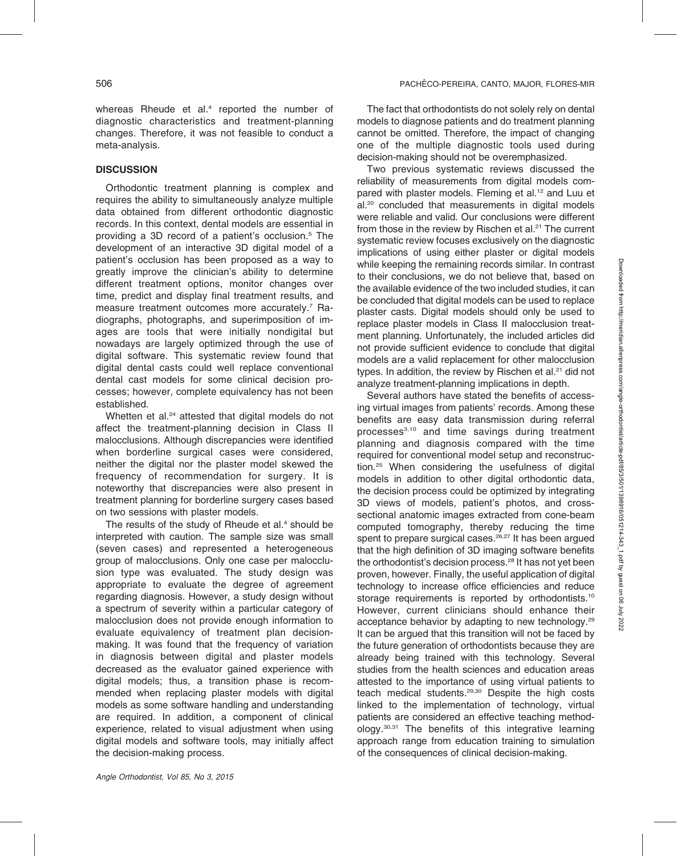whereas Rheude et al.<sup>4</sup> reported the number of diagnostic characteristics and treatment-planning changes. Therefore, it was not feasible to conduct a meta-analysis.

## **DISCUSSION**

Orthodontic treatment planning is complex and requires the ability to simultaneously analyze multiple data obtained from different orthodontic diagnostic records. In this context, dental models are essential in providing a 3D record of a patient's occlusion.5 The development of an interactive 3D digital model of a patient's occlusion has been proposed as a way to greatly improve the clinician's ability to determine different treatment options, monitor changes over time, predict and display final treatment results, and measure treatment outcomes more accurately.<sup>7</sup> Radiographs, photographs, and superimposition of images are tools that were initially nondigital but nowadays are largely optimized through the use of digital software. This systematic review found that digital dental casts could well replace conventional dental cast models for some clinical decision processes; however, complete equivalency has not been established.

Whetten et al.<sup>24</sup> attested that digital models do not affect the treatment-planning decision in Class II malocclusions. Although discrepancies were identified when borderline surgical cases were considered, neither the digital nor the plaster model skewed the frequency of recommendation for surgery. It is noteworthy that discrepancies were also present in treatment planning for borderline surgery cases based on two sessions with plaster models.

The results of the study of Rheude et al.<sup>4</sup> should be interpreted with caution. The sample size was small (seven cases) and represented a heterogeneous group of malocclusions. Only one case per malocclusion type was evaluated. The study design was appropriate to evaluate the degree of agreement regarding diagnosis. However, a study design without a spectrum of severity within a particular category of malocclusion does not provide enough information to evaluate equivalency of treatment plan decisionmaking. It was found that the frequency of variation in diagnosis between digital and plaster models decreased as the evaluator gained experience with digital models; thus, a transition phase is recommended when replacing plaster models with digital models as some software handling and understanding are required. In addition, a component of clinical experience, related to visual adjustment when using digital models and software tools, may initially affect the decision-making process.

The fact that orthodontists do not solely rely on dental models to diagnose patients and do treatment planning cannot be omitted. Therefore, the impact of changing one of the multiple diagnostic tools used during decision-making should not be overemphasized.

Two previous systematic reviews discussed the reliability of measurements from digital models compared with plaster models. Fleming et al.<sup>12</sup> and Luu et al.<sup>20</sup> concluded that measurements in digital models were reliable and valid. Our conclusions were different from those in the review by Rischen et al.<sup>21</sup> The current systematic review focuses exclusively on the diagnostic implications of using either plaster or digital models while keeping the remaining records similar. In contrast to their conclusions, we do not believe that, based on the available evidence of the two included studies, it can be concluded that digital models can be used to replace plaster casts. Digital models should only be used to replace plaster models in Class II malocclusion treatment planning. Unfortunately, the included articles did not provide sufficient evidence to conclude that digital models are a valid replacement for other malocclusion types. In addition, the review by Rischen et al.<sup>21</sup> did not analyze treatment-planning implications in depth.

Several authors have stated the benefits of accessing virtual images from patients' records. Among these benefits are easy data transmission during referral processes3,10 and time savings during treatment planning and diagnosis compared with the time required for conventional model setup and reconstruction.25 When considering the usefulness of digital models in addition to other digital orthodontic data, the decision process could be optimized by integrating 3D views of models, patient's photos, and crosssectional anatomic images extracted from cone-beam computed tomography, thereby reducing the time spent to prepare surgical cases.<sup>26,27</sup> It has been argued that the high definition of 3D imaging software benefits the orthodontist's decision process.<sup>28</sup> It has not yet been proven, however. Finally, the useful application of digital technology to increase office efficiencies and reduce storage requirements is reported by orthodontists.<sup>10</sup> However, current clinicians should enhance their acceptance behavior by adapting to new technology.<sup>29</sup> It can be argued that this transition will not be faced by the future generation of orthodontists because they are already being trained with this technology. Several studies from the health sciences and education areas attested to the importance of using virtual patients to teach medical students.29,30 Despite the high costs linked to the implementation of technology, virtual patients are considered an effective teaching methodology.30,31 The benefits of this integrative learning approach range from education training to simulation of the consequences of clinical decision-making.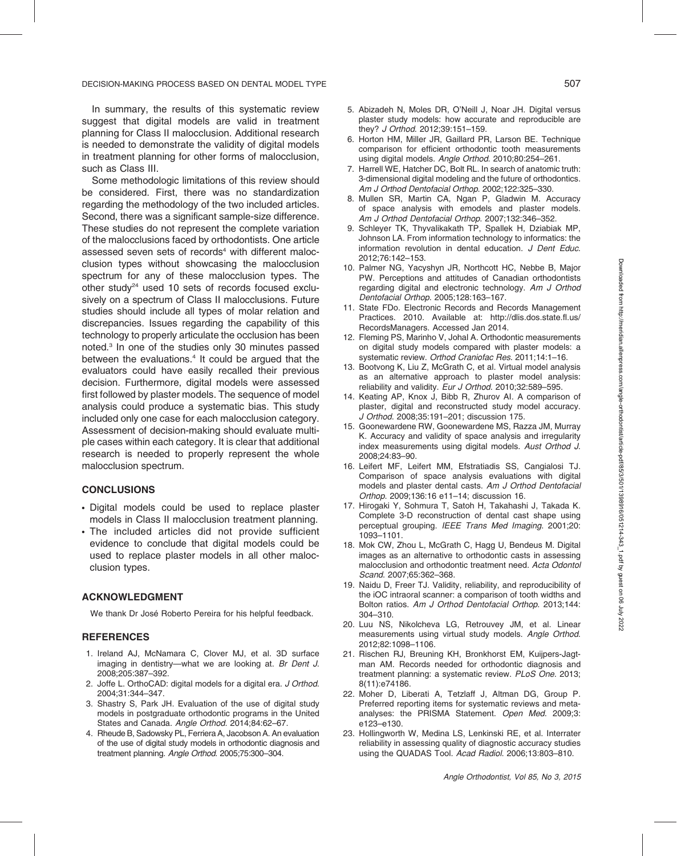In summary, the results of this systematic review suggest that digital models are valid in treatment planning for Class II malocclusion. Additional research is needed to demonstrate the validity of digital models in treatment planning for other forms of malocclusion, such as Class III.

Some methodologic limitations of this review should be considered. First, there was no standardization regarding the methodology of the two included articles. Second, there was a significant sample-size difference. These studies do not represent the complete variation of the malocclusions faced by orthodontists. One article assessed seven sets of records<sup>4</sup> with different malocclusion types without showcasing the malocclusion spectrum for any of these malocclusion types. The other study<sup>24</sup> used 10 sets of records focused exclusively on a spectrum of Class II malocclusions. Future studies should include all types of molar relation and discrepancies. Issues regarding the capability of this technology to properly articulate the occlusion has been noted.3 In one of the studies only 30 minutes passed between the evaluations.<sup>4</sup> It could be argued that the evaluators could have easily recalled their previous decision. Furthermore, digital models were assessed first followed by plaster models. The sequence of model analysis could produce a systematic bias. This study included only one case for each malocclusion category. Assessment of decision-making should evaluate multiple cases within each category. It is clear that additional research is needed to properly represent the whole malocclusion spectrum.

#### **CONCLUSIONS**

- Digital models could be used to replace plaster models in Class II malocclusion treatment planning.
- . The included articles did not provide sufficient evidence to conclude that digital models could be used to replace plaster models in all other malocclusion types.

#### ACKNOWLEDGMENT

We thank Dr José Roberto Pereira for his helpful feedback.

#### **REFERENCES**

- 1. Ireland AJ, McNamara C, Clover MJ, et al. 3D surface imaging in dentistry—what we are looking at. Br Dent J. 2008;205:387–392.
- 2. Joffe L. OrthoCAD: digital models for a digital era. J Orthod. 2004;31:344–347.
- 3. Shastry S, Park JH. Evaluation of the use of digital study models in postgraduate orthodontic programs in the United States and Canada. Angle Orthod. 2014;84:62–67.
- 4. Rheude B, Sadowsky PL, Ferriera A, Jacobson A. An evaluation of the use of digital study models in orthodontic diagnosis and treatment planning. Angle Orthod. 2005;75:300–304.
- 5. Abizadeh N, Moles DR, O'Neill J, Noar JH. Digital versus plaster study models: how accurate and reproducible are they? J Orthod. 2012;39:151–159.
- 6. Horton HM, Miller JR, Gaillard PR, Larson BE. Technique comparison for efficient orthodontic tooth measurements using digital models. Angle Orthod. 2010;80:254–261.
- 7. Harrell WE, Hatcher DC, Bolt RL. In search of anatomic truth: 3-dimensional digital modeling and the future of orthodontics. Am J Orthod Dentofacial Orthop. 2002;122:325–330.
- 8. Mullen SR, Martin CA, Ngan P, Gladwin M. Accuracy of space analysis with emodels and plaster models. Am J Orthod Dentofacial Orthop. 2007;132:346–352.
- 9. Schleyer TK, Thyvalikakath TP, Spallek H, Dziabiak MP, Johnson LA. From information technology to informatics: the information revolution in dental education. J Dent Educ. 2012;76:142–153.
- 10. Palmer NG, Yacyshyn JR, Northcott HC, Nebbe B, Major PW. Perceptions and attitudes of Canadian orthodontists regarding digital and electronic technology. Am J Orthod Dentofacial Orthop. 2005;128:163–167.
- 11. State FDo. Electronic Records and Records Management Practices. 2010. Available at: http://dlis.dos.state.fl.us/ RecordsManagers. Accessed Jan 2014.
- 12. Fleming PS, Marinho V, Johal A. Orthodontic measurements on digital study models compared with plaster models: a systematic review. Orthod Craniofac Res. 2011;14:1–16.
- 13. Bootvong K, Liu Z, McGrath C, et al. Virtual model analysis as an alternative approach to plaster model analysis: reliability and validity. Eur J Orthod. 2010;32:589–595.
- 14. Keating AP, Knox J, Bibb R, Zhurov AI. A comparison of plaster, digital and reconstructed study model accuracy. J Orthod. 2008;35:191–201; discussion 175.
- 15. Goonewardene RW, Goonewardene MS, Razza JM, Murray K. Accuracy and validity of space analysis and irregularity index measurements using digital models. Aust Orthod J. 2008;24:83–90.
- 16. Leifert MF, Leifert MM, Efstratiadis SS, Cangialosi TJ. Comparison of space analysis evaluations with digital models and plaster dental casts. Am J Orthod Dentofacial Orthop. 2009;136:16 e11–14; discussion 16.
- 17. Hirogaki Y, Sohmura T, Satoh H, Takahashi J, Takada K. Complete 3-D reconstruction of dental cast shape using perceptual grouping. IEEE Trans Med Imaging. 2001;20: 1093–1101.
- 18. Mok CW, Zhou L, McGrath C, Hagg U, Bendeus M. Digital images as an alternative to orthodontic casts in assessing malocclusion and orthodontic treatment need. Acta Odontol Scand. 2007;65:362–368.
- 19. Naidu D, Freer TJ. Validity, reliability, and reproducibility of the iOC intraoral scanner: a comparison of tooth widths and Bolton ratios. Am J Orthod Dentofacial Orthop. 2013;144: 304–310.
- 20. Luu NS, Nikolcheva LG, Retrouvey JM, et al. Linear measurements using virtual study models. Angle Orthod. 2012;82:1098–1106.
- 21. Rischen RJ, Breuning KH, Bronkhorst EM, Kuijpers-Jagtman AM. Records needed for orthodontic diagnosis and treatment planning: a systematic review. PLoS One. 2013; 8(11):e74186.
- 22. Moher D, Liberati A, Tetzlaff J, Altman DG, Group P. Preferred reporting items for systematic reviews and metaanalyses: the PRISMA Statement. Open Med. 2009;3: e123–e130.
- 23. Hollingworth W, Medina LS, Lenkinski RE, et al. Interrater reliability in assessing quality of diagnostic accuracy studies using the QUADAS Tool. Acad Radiol. 2006;13:803–810.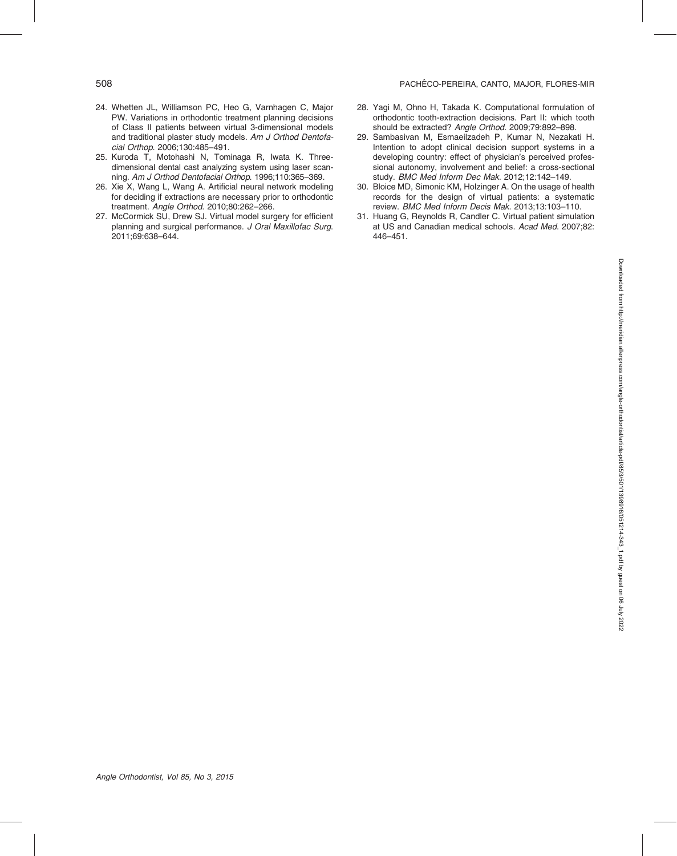- 24. Whetten JL, Williamson PC, Heo G, Varnhagen C, Major PW. Variations in orthodontic treatment planning decisions of Class II patients between virtual 3-dimensional models and traditional plaster study models. Am J Orthod Dentofacial Orthop. 2006;130:485–491.
- 25. Kuroda T, Motohashi N, Tominaga R, Iwata K. Threedimensional dental cast analyzing system using laser scanning. Am J Orthod Dentofacial Orthop. 1996;110:365–369.
- 26. Xie X, Wang L, Wang A. Artificial neural network modeling for deciding if extractions are necessary prior to orthodontic treatment. Angle Orthod. 2010;80:262–266.
- 27. McCormick SU, Drew SJ. Virtual model surgery for efficient planning and surgical performance. J Oral Maxillofac Surg. 2011;69:638–644.
- 28. Yagi M, Ohno H, Takada K. Computational formulation of orthodontic tooth-extraction decisions. Part II: which tooth should be extracted? Angle Orthod. 2009;79:892–898.
- 29. Sambasivan M, Esmaeilzadeh P, Kumar N, Nezakati H. Intention to adopt clinical decision support systems in a developing country: effect of physician's perceived professional autonomy, involvement and belief: a cross-sectional study. BMC Med Inform Dec Mak. 2012;12:142–149.
- 30. Bloice MD, Simonic KM, Holzinger A. On the usage of health records for the design of virtual patients: a systematic review. BMC Med Inform Decis Mak. 2013;13:103–110.
- 31. Huang G, Reynolds R, Candler C. Virtual patient simulation at US and Canadian medical schools. Acad Med. 2007;82: 446–451.